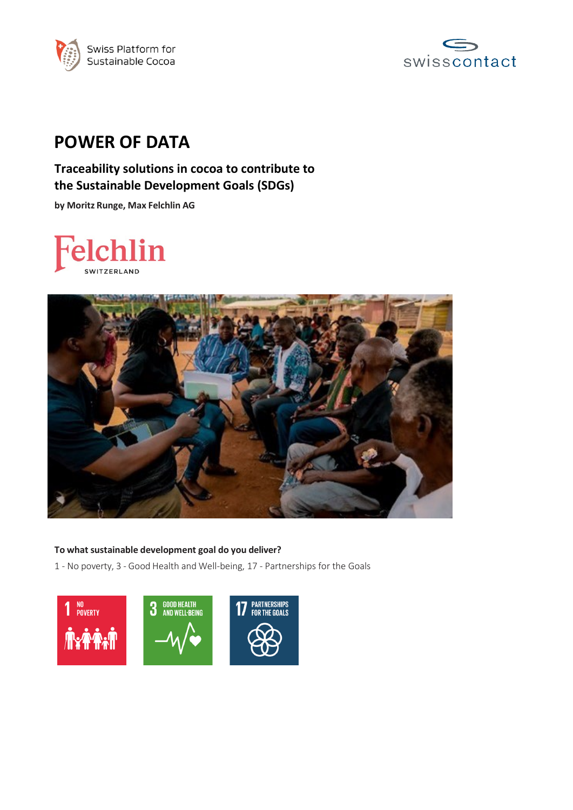



# **POWER OF DATA**

# **Traceability solutions in cocoa to contribute to the Sustainable Development Goals (SDGs)**

**by Moritz Runge, Max Felchlin AG**





## **To what sustainable development goal do you deliver?**

1 - No poverty, 3 - Good Health and Well-being, 17 - Partnerships for the Goals

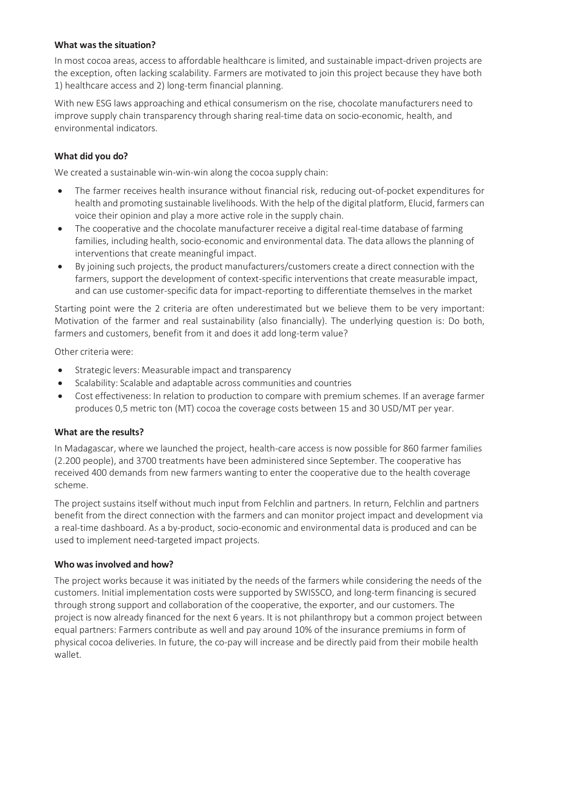### **What was the situation?**

In most cocoa areas, access to affordable healthcare is limited, and sustainable impact-driven projects are the exception, often lacking scalability. Farmers are motivated to join this project because they have both 1) healthcare access and 2) long-term financial planning.

With new ESG laws approaching and ethical consumerism on the rise, chocolate manufacturers need to improve supply chain transparency through sharing real-time data on socio-economic, health, and environmental indicators.

#### **What did you do?**

We created a sustainable win-win-win along the cocoa supply chain:

- The farmer receives health insurance without financial risk, reducing out-of-pocket expenditures for health and promoting sustainable livelihoods. With the help of the digital platform, Elucid, farmers can voice their opinion and play a more active role in the supply chain.
- The cooperative and the chocolate manufacturer receive a digital real-time database of farming families, including health, socio-economic and environmental data. The data allows the planning of interventions that create meaningful impact.
- By joining such projects, the product manufacturers/customers create a direct connection with the farmers, support the development of context-specific interventions that create measurable impact, and can use customer-specific data for impact-reporting to differentiate themselves in the market

Starting point were the 2 criteria are often underestimated but we believe them to be very important: Motivation of the farmer and real sustainability (also financially). The underlying question is: Do both, farmers and customers, benefit from it and does it add long-term value?

Other criteria were:

- Strategic levers: Measurable impact and transparency
- Scalability: Scalable and adaptable across communities and countries
- Cost effectiveness: In relation to production to compare with premium schemes. If an average farmer produces 0,5 metric ton (MT) cocoa the coverage costs between 15 and 30 USD/MT per year.

#### **What are the results?**

In Madagascar, where we launched the project, health-care access is now possible for 860 farmer families (2.200 people), and 3700 treatments have been administered since September. The cooperative has received 400 demands from new farmers wanting to enter the cooperative due to the health coverage scheme.

The project sustains itself without much input from Felchlin and partners. In return, Felchlin and partners benefit from the direct connection with the farmers and can monitor project impact and development via a real-time dashboard. As a by-product, socio-economic and environmental data is produced and can be used to implement need-targeted impact projects.

#### **Who was involved and how?**

The project works because it was initiated by the needs of the farmers while considering the needs of the customers. Initial implementation costs were supported by SWISSCO, and long-term financing is secured through strong support and collaboration of the cooperative, the exporter, and our customers. The project is now already financed for the next 6 years. It is not philanthropy but a common project between equal partners: Farmers contribute as well and pay around 10% of the insurance premiums in form of physical cocoa deliveries. In future, the co-pay will increase and be directly paid from their mobile health wallet.